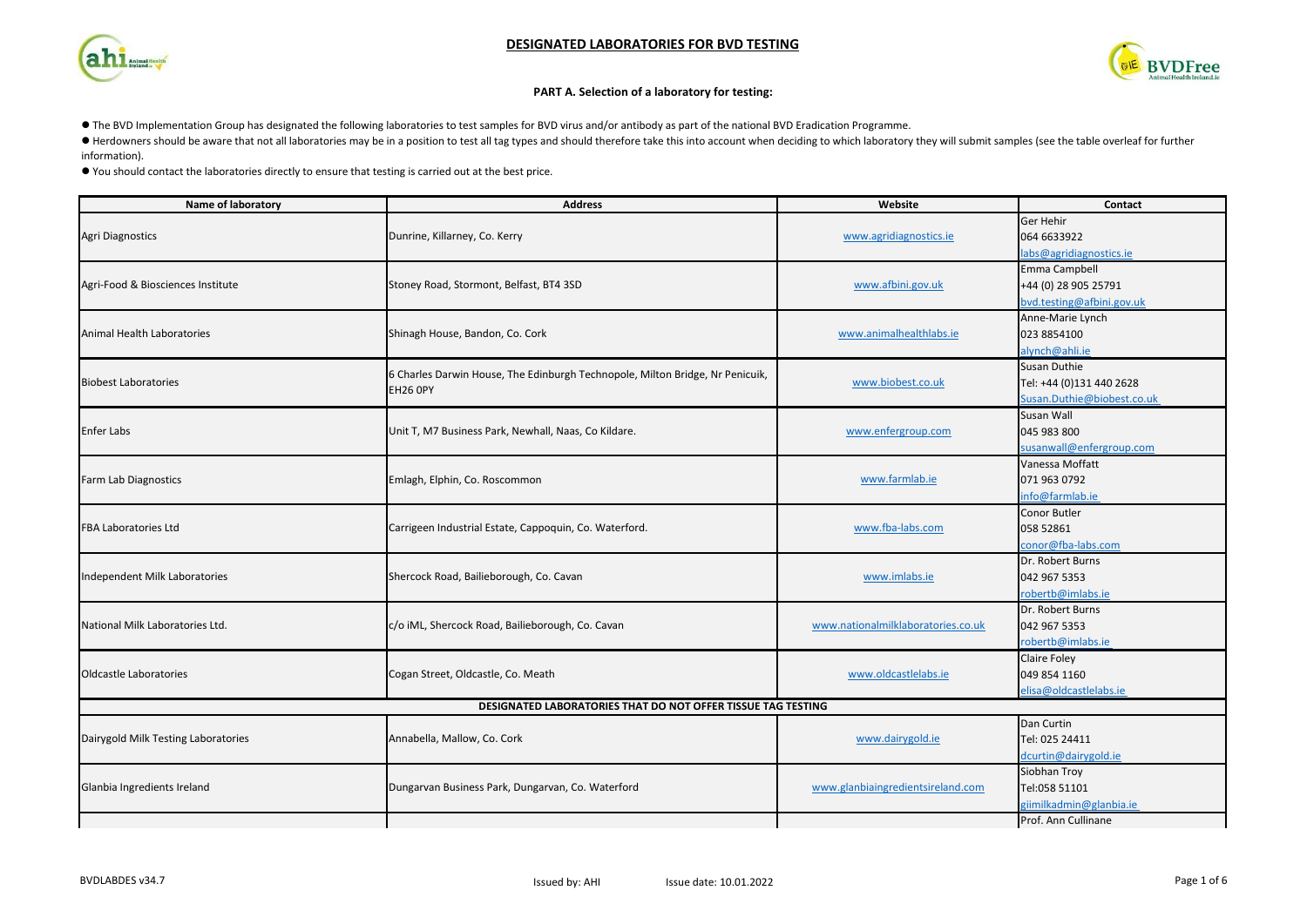### **DESIGNATED LABORATORIES FOR BVD TESTING**





#### **PART A. Selection of a laboratory for testing:**

l The BVD Implementation Group has designated the following laboratories to test samples for BVD virus and/or antibody as part of the national BVD Eradication Programme.

● Herdowners should be aware that not all laboratories may be in a position to test all tag types and should therefore take this into account when deciding to which laboratory they will submit samples (see the table overl

information).

l You should contact the laboratories directly to ensure that testing is carried out at the best price.

| Name of laboratory                                           | <b>Address</b>                                                                | Website                            | Contact                    |  |  |  |  |  |
|--------------------------------------------------------------|-------------------------------------------------------------------------------|------------------------------------|----------------------------|--|--|--|--|--|
| <b>Agri Diagnostics</b>                                      | Dunrine, Killarney, Co. Kerry                                                 | www.agridiagnostics.ie             | Ger Hehir<br>064 6633922   |  |  |  |  |  |
|                                                              |                                                                               |                                    | labs@agridiagnostics.ie    |  |  |  |  |  |
|                                                              |                                                                               |                                    | Emma Campbell              |  |  |  |  |  |
| Agri-Food & Biosciences Institute                            | Stoney Road, Stormont, Belfast, BT4 3SD                                       | www.afbini.gov.uk                  | +44 (0) 28 905 25791       |  |  |  |  |  |
|                                                              |                                                                               |                                    | bvd.testing@afbini.gov.uk  |  |  |  |  |  |
|                                                              |                                                                               |                                    | Anne-Marie Lynch           |  |  |  |  |  |
| Animal Health Laboratories                                   | Shinagh House, Bandon, Co. Cork                                               | www.animalhealthlabs.ie            | 023 8854100                |  |  |  |  |  |
|                                                              |                                                                               |                                    | alynch@ahli.ie             |  |  |  |  |  |
|                                                              | 6 Charles Darwin House, The Edinburgh Technopole, Milton Bridge, Nr Penicuik, |                                    | <b>Susan Duthie</b>        |  |  |  |  |  |
| <b>Biobest Laboratories</b>                                  | <b>EH26 OPY</b>                                                               | www.biobest.co.uk                  | Tel: +44 (0)131 440 2628   |  |  |  |  |  |
|                                                              |                                                                               |                                    | Susan.Duthie@biobest.co.uk |  |  |  |  |  |
|                                                              |                                                                               |                                    | Susan Wall                 |  |  |  |  |  |
| <b>Enfer Labs</b>                                            | Unit T, M7 Business Park, Newhall, Naas, Co Kildare.                          | www.enfergroup.com                 | 045 983 800                |  |  |  |  |  |
|                                                              |                                                                               |                                    | susanwall@enfergroup.com   |  |  |  |  |  |
|                                                              |                                                                               |                                    | Vanessa Moffatt            |  |  |  |  |  |
| Farm Lab Diagnostics                                         | Emlagh, Elphin, Co. Roscommon                                                 | www.farmlab.ie                     | 071 963 0792               |  |  |  |  |  |
|                                                              |                                                                               |                                    | info@farmlab.ie            |  |  |  |  |  |
|                                                              |                                                                               |                                    | Conor Butler               |  |  |  |  |  |
| <b>FBA Laboratories Ltd</b>                                  | Carrigeen Industrial Estate, Cappoquin, Co. Waterford.                        | www.fba-labs.com                   | 058 52861                  |  |  |  |  |  |
|                                                              |                                                                               |                                    | conor@fba-labs.com         |  |  |  |  |  |
|                                                              |                                                                               |                                    | Dr. Robert Burns           |  |  |  |  |  |
| Independent Milk Laboratories                                | Shercock Road, Bailieborough, Co. Cavan                                       | www.imlabs.ie                      | 042 967 5353               |  |  |  |  |  |
|                                                              |                                                                               |                                    | robertb@imlabs.ie          |  |  |  |  |  |
|                                                              |                                                                               |                                    | Dr. Robert Burns           |  |  |  |  |  |
| National Milk Laboratories Ltd.                              | c/o iML, Shercock Road, Bailieborough, Co. Cavan                              | www.nationalmilklaboratories.co.uk | 042 967 5353               |  |  |  |  |  |
|                                                              |                                                                               |                                    | robertb@imlabs.ie          |  |  |  |  |  |
|                                                              |                                                                               |                                    | <b>Claire Foley</b>        |  |  |  |  |  |
| Oldcastle Laboratories                                       | Cogan Street, Oldcastle, Co. Meath                                            | www.oldcastlelabs.ie               | 049 854 1160               |  |  |  |  |  |
|                                                              |                                                                               |                                    | elisa@oldcastlelabs.ie     |  |  |  |  |  |
| DESIGNATED LABORATORIES THAT DO NOT OFFER TISSUE TAG TESTING |                                                                               |                                    |                            |  |  |  |  |  |
|                                                              |                                                                               |                                    | Dan Curtin                 |  |  |  |  |  |
| Dairygold Milk Testing Laboratories                          | Annabella, Mallow, Co. Cork                                                   | www.dairygold.ie                   | Tel: 025 24411             |  |  |  |  |  |
|                                                              |                                                                               |                                    | dcurtin@dairygold.ie       |  |  |  |  |  |
|                                                              |                                                                               |                                    | Siobhan Troy               |  |  |  |  |  |
| Glanbia Ingredients Ireland                                  | Dungarvan Business Park, Dungarvan, Co. Waterford                             | www.glanbiaingredientsireland.com  | Tel:058 51101              |  |  |  |  |  |
|                                                              |                                                                               |                                    | giimilkadmin@glanbia.ie    |  |  |  |  |  |
|                                                              |                                                                               |                                    | Prof. Ann Cullinane        |  |  |  |  |  |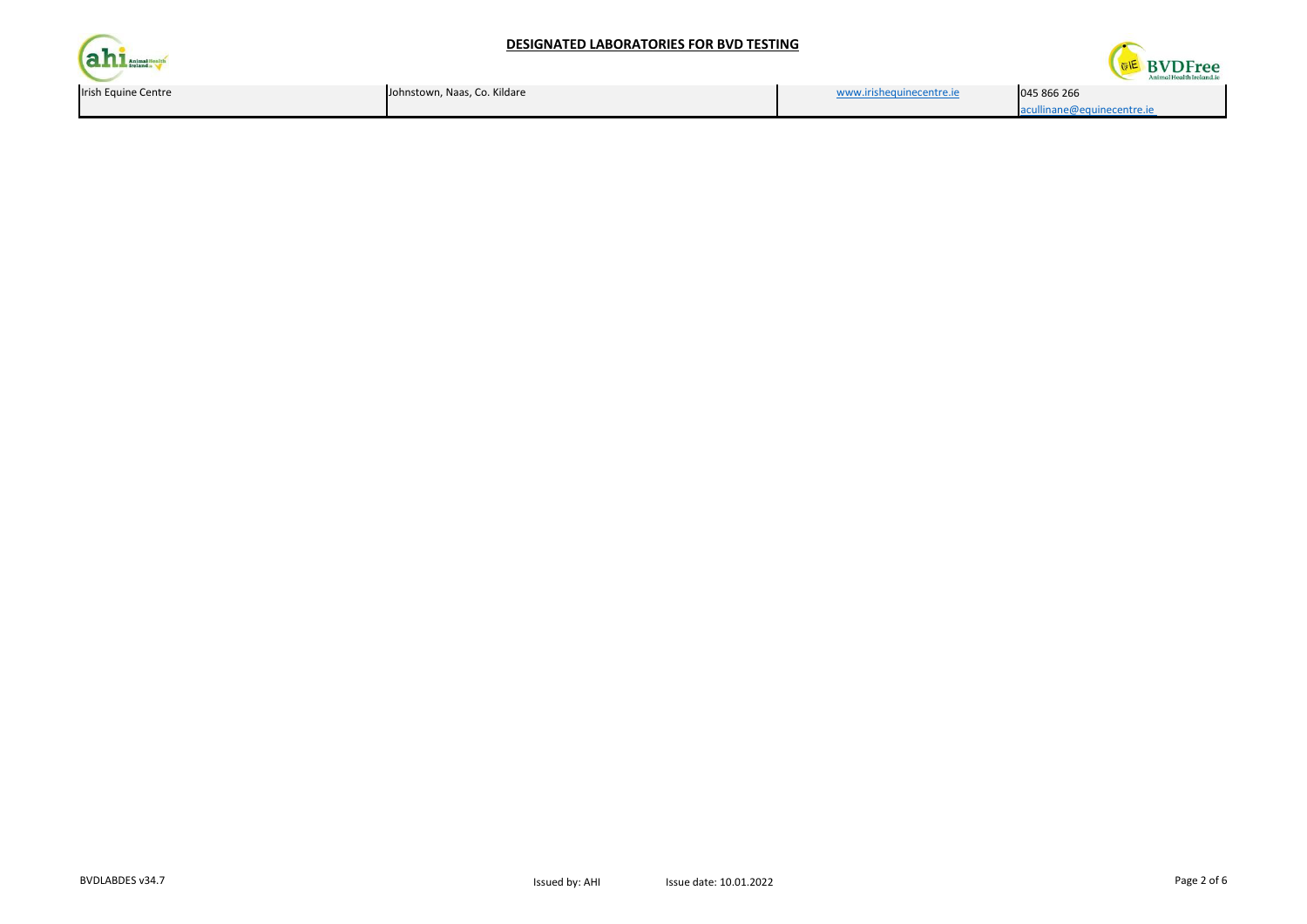# **DESIGNATED LABORATORIES FOR BVD TESTING**





| n Equine Centre | Johnstown, Naas, Co. Kildare | www.irishequinecentre.je | 045 866 266                |
|-----------------|------------------------------|--------------------------|----------------------------|
|                 |                              |                          | acullinane@equinecentre.ie |
|                 |                              |                          |                            |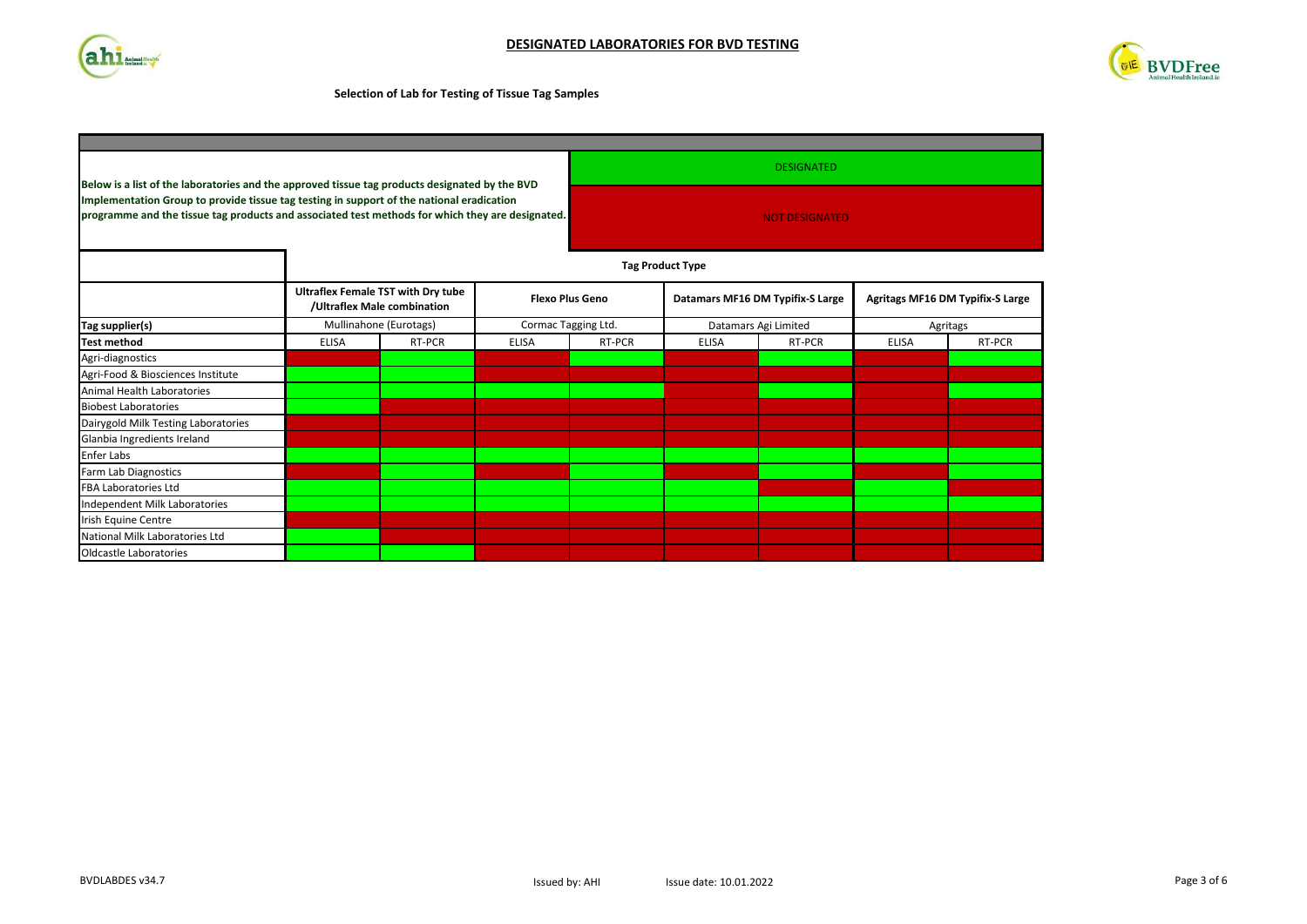



### **Selection of Lab for Testing of Tissue Tag Samples**

| Below is a list of the laboratories and the approved tissue tag products designated by the BVD                                                                                                | <b>DESIGNATED</b><br><b>NOT DESIGNATED</b> |                                                                          |                     |                        |                                  |        |                                  |        |
|-----------------------------------------------------------------------------------------------------------------------------------------------------------------------------------------------|--------------------------------------------|--------------------------------------------------------------------------|---------------------|------------------------|----------------------------------|--------|----------------------------------|--------|
| Implementation Group to provide tissue tag testing in support of the national eradication<br>programme and the tissue tag products and associated test methods for which they are designated. |                                            |                                                                          |                     |                        |                                  |        |                                  |        |
|                                                                                                                                                                                               |                                            | <b>Tag Product Type</b>                                                  |                     |                        |                                  |        |                                  |        |
|                                                                                                                                                                                               |                                            | <b>Ultraflex Female TST with Dry tube</b><br>/Ultraflex Male combination |                     | <b>Flexo Plus Geno</b> | Datamars MF16 DM Typifix-S Large |        | Agritags MF16 DM Typifix-S Large |        |
| Tag supplier(s)                                                                                                                                                                               |                                            | Mullinahone (Eurotags)                                                   | Cormac Tagging Ltd. |                        | Datamars Agi Limited             |        | Agritags                         |        |
| <b>Test method</b>                                                                                                                                                                            | <b>ELISA</b>                               | RT-PCR                                                                   | <b>ELISA</b>        | RT-PCR                 | <b>ELISA</b>                     | RT-PCR | <b>ELISA</b>                     | RT-PCR |
| Agri-diagnostics                                                                                                                                                                              |                                            |                                                                          |                     |                        |                                  |        |                                  |        |
| Agri-Food & Biosciences Institute                                                                                                                                                             |                                            |                                                                          |                     |                        |                                  |        |                                  |        |
| Animal Health Laboratories                                                                                                                                                                    |                                            |                                                                          |                     |                        |                                  |        |                                  |        |
| <b>Biobest Laboratories</b>                                                                                                                                                                   |                                            |                                                                          |                     |                        |                                  |        |                                  |        |
| Dairygold Milk Testing Laboratories                                                                                                                                                           |                                            |                                                                          |                     |                        |                                  |        |                                  |        |
| Glanbia Ingredients Ireland                                                                                                                                                                   |                                            |                                                                          |                     |                        |                                  |        |                                  |        |
| <b>Enfer Labs</b>                                                                                                                                                                             |                                            |                                                                          |                     |                        |                                  |        |                                  |        |
| Farm Lab Diagnostics                                                                                                                                                                          |                                            |                                                                          |                     |                        |                                  |        |                                  |        |
| <b>FBA Laboratories Ltd</b>                                                                                                                                                                   |                                            |                                                                          |                     |                        |                                  |        |                                  |        |
| Independent Milk Laboratories                                                                                                                                                                 |                                            |                                                                          |                     |                        |                                  |        |                                  |        |
| Irish Equine Centre                                                                                                                                                                           |                                            |                                                                          |                     |                        |                                  |        |                                  |        |
| National Milk Laboratories Ltd                                                                                                                                                                |                                            |                                                                          |                     |                        |                                  |        |                                  |        |
| Oldcastle Laboratories                                                                                                                                                                        |                                            |                                                                          |                     |                        |                                  |        |                                  |        |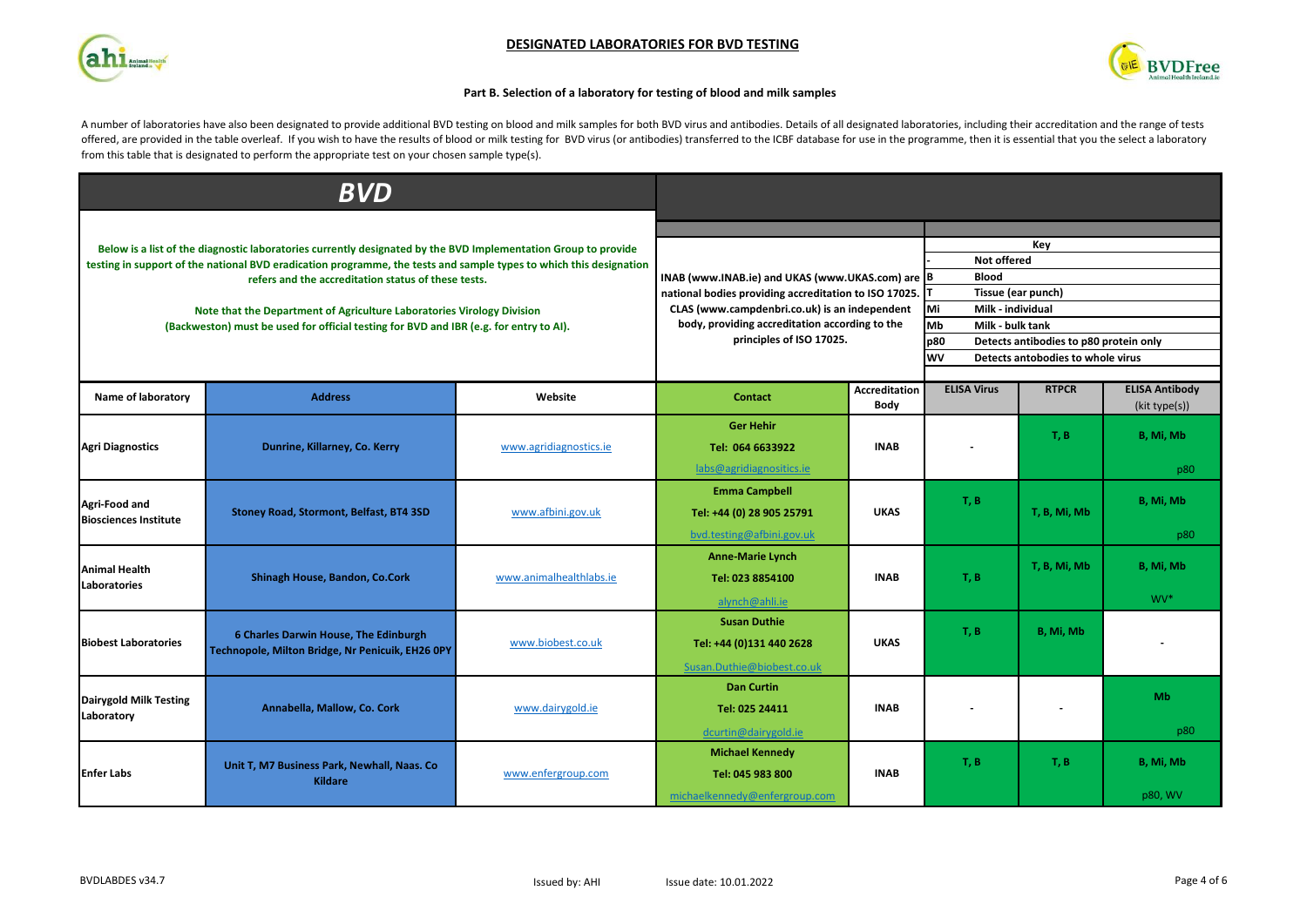





# **Part B. Selection of a laboratory for testing of blood and milk samples**

A number of laboratories have also been designated to provide additional BVD testing on blood and milk samples for both BVD virus and antibodies. Details of all designated laboratories, including their accreditation and th offered, are provided in the table overleaf. If you wish to have the results of blood or milk testing for BVD virus (or antibodies) transferred to the ICBF database for use in the programme, then it is essential that you t from this table that is designated to perform the appropriate test on your chosen sample type(s).

|                                                                                                                | <b>BVD</b>                                                                                                                                                       |                         |                                                                                                 |                                                   |                                         |                                        |                                        |  |
|----------------------------------------------------------------------------------------------------------------|------------------------------------------------------------------------------------------------------------------------------------------------------------------|-------------------------|-------------------------------------------------------------------------------------------------|---------------------------------------------------|-----------------------------------------|----------------------------------------|----------------------------------------|--|
|                                                                                                                |                                                                                                                                                                  |                         |                                                                                                 |                                                   |                                         |                                        |                                        |  |
| Below is a list of the diagnostic laboratories currently designated by the BVD Implementation Group to provide |                                                                                                                                                                  |                         |                                                                                                 |                                                   |                                         | Key                                    |                                        |  |
|                                                                                                                | testing in support of the national BVD eradication programme, the tests and sample types to which this designation                                               |                         |                                                                                                 | Not offered                                       |                                         |                                        |                                        |  |
|                                                                                                                | refers and the accreditation status of these tests.                                                                                                              |                         | <b>Blood</b><br>INAB (www.INAB.ie) and UKAS (www.UKAS.com) are B                                |                                                   |                                         |                                        |                                        |  |
|                                                                                                                |                                                                                                                                                                  |                         | national bodies providing accreditation to ISO 17025.                                           | Tissue (ear punch)                                |                                         |                                        |                                        |  |
|                                                                                                                | Note that the Department of Agriculture Laboratories Virology Division<br>(Backweston) must be used for official testing for BVD and IBR (e.g. for entry to AI). |                         | CLAS (www.campdenbri.co.uk) is an independent<br>body, providing accreditation according to the | Mi<br>Milk - individual<br>Mb<br>Milk - bulk tank |                                         |                                        |                                        |  |
|                                                                                                                |                                                                                                                                                                  |                         | principles of ISO 17025.                                                                        |                                                   | p80                                     | Detects antibodies to p80 protein only |                                        |  |
|                                                                                                                |                                                                                                                                                                  |                         |                                                                                                 |                                                   | WV<br>Detects antobodies to whole virus |                                        |                                        |  |
|                                                                                                                |                                                                                                                                                                  |                         |                                                                                                 |                                                   |                                         |                                        |                                        |  |
| Name of laboratory                                                                                             | <b>Address</b>                                                                                                                                                   | Website                 | <b>Contact</b>                                                                                  | <b>Accreditation</b><br>Body                      | <b>ELISA Virus</b>                      | <b>RTPCR</b>                           | <b>ELISA Antibody</b><br>(kit type(s)) |  |
|                                                                                                                |                                                                                                                                                                  |                         | <b>Ger Hehir</b>                                                                                |                                                   |                                         |                                        |                                        |  |
| <b>Agri Diagnostics</b>                                                                                        | Dunrine, Killarney, Co. Kerry                                                                                                                                    | www.agridiagnostics.ie  | Tel: 064 6633922                                                                                | <b>INAB</b>                                       |                                         | T, B                                   | B, Mi, Mb                              |  |
|                                                                                                                |                                                                                                                                                                  |                         | labs@agridiagnositics.ie                                                                        |                                                   |                                         |                                        | p80                                    |  |
|                                                                                                                | Stoney Road, Stormont, Belfast, BT4 3SD                                                                                                                          | www.afbini.gov.uk       | <b>Emma Campbell</b>                                                                            | <b>UKAS</b>                                       |                                         |                                        |                                        |  |
| Agri-Food and                                                                                                  |                                                                                                                                                                  |                         | Tel: +44 (0) 28 905 25791                                                                       |                                                   | T, B                                    | T, B, Mi, Mb                           | B, Mi, Mb                              |  |
| <b>Biosciences Institute</b>                                                                                   |                                                                                                                                                                  |                         | bvd.testing@afbini.gov.uk                                                                       |                                                   |                                         |                                        | p80                                    |  |
|                                                                                                                |                                                                                                                                                                  |                         | <b>Anne-Marie Lynch</b>                                                                         |                                                   |                                         |                                        |                                        |  |
| <b>Animal Health</b>                                                                                           | Shinagh House, Bandon, Co.Cork                                                                                                                                   | www.animalhealthlabs.ie | Tel: 023 8854100                                                                                | <b>INAB</b>                                       | T, B                                    | T, B, Mi, Mb                           | B, Mi, Mb                              |  |
| <b>Laboratories</b>                                                                                            |                                                                                                                                                                  |                         | alynch@ahli.ie                                                                                  |                                                   |                                         |                                        | WV <sup>*</sup>                        |  |
|                                                                                                                |                                                                                                                                                                  |                         | <b>Susan Duthie</b>                                                                             |                                                   |                                         |                                        |                                        |  |
| <b>Biobest Laboratories</b>                                                                                    | 6 Charles Darwin House, The Edinburgh<br>Technopole, Milton Bridge, Nr Penicuik, EH26 0PY                                                                        | www.biobest.co.uk       | Tel: +44 (0)131 440 2628                                                                        | <b>UKAS</b>                                       | T, B                                    | B, Mi, Mb                              |                                        |  |
|                                                                                                                |                                                                                                                                                                  |                         |                                                                                                 |                                                   |                                         |                                        |                                        |  |
|                                                                                                                |                                                                                                                                                                  |                         | Susan.Duthie@biobest.co.uk                                                                      |                                                   |                                         |                                        |                                        |  |
| <b>Dairygold Milk Testing</b>                                                                                  | Annabella, Mallow, Co. Cork                                                                                                                                      | www.dairygold.ie        | <b>Dan Curtin</b>                                                                               |                                                   |                                         |                                        | Mb                                     |  |
| Laboratory                                                                                                     |                                                                                                                                                                  |                         | Tel: 025 24411                                                                                  | <b>INAB</b>                                       |                                         |                                        |                                        |  |
|                                                                                                                |                                                                                                                                                                  |                         | dcurtin@dairygold.ie                                                                            |                                                   |                                         |                                        | p80                                    |  |
| <b>Enfer Labs</b>                                                                                              | Unit T, M7 Business Park, Newhall, Naas. Co<br><b>Kildare</b>                                                                                                    | www.enfergroup.com      | <b>Michael Kennedy</b>                                                                          | <b>INAB</b>                                       | T, B                                    | T, B                                   | B, Mi, Mb                              |  |
|                                                                                                                |                                                                                                                                                                  |                         | Tel: 045 983 800                                                                                |                                                   |                                         |                                        |                                        |  |
|                                                                                                                |                                                                                                                                                                  |                         | michaelkennedy@enfergroup.com                                                                   |                                                   |                                         |                                        | p80, WV                                |  |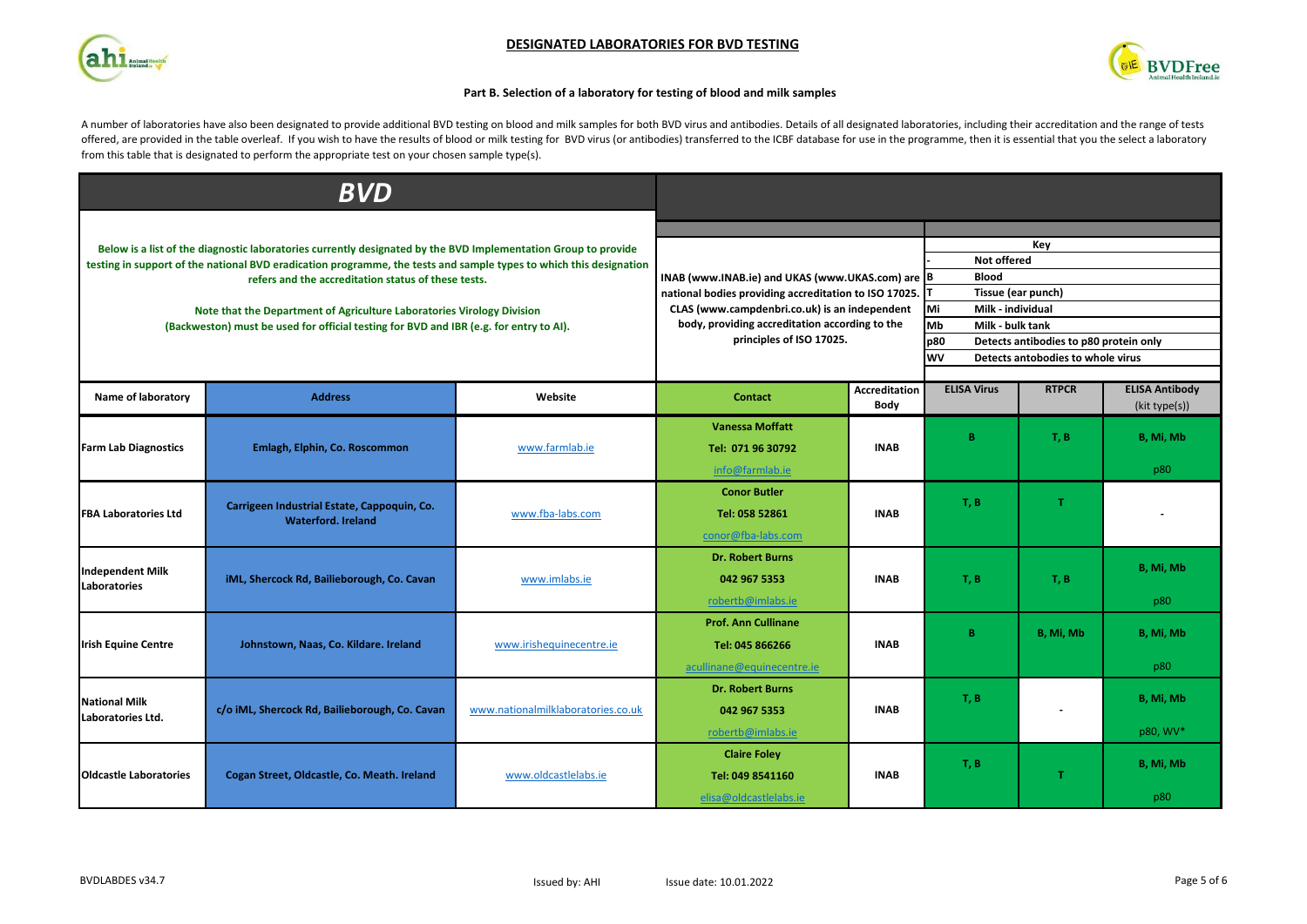





# **Part B. Selection of a laboratory for testing of blood and milk samples**

A number of laboratories have also been designated to provide additional BVD testing on blood and milk samples for both BVD virus and antibodies. Details of all designated laboratories, including their accreditation and th offered, are provided in the table overleaf. If you wish to have the results of blood or milk testing for BVD virus (or antibodies) transferred to the ICBF database for use in the programme, then it is essential that you t from this table that is designated to perform the appropriate test on your chosen sample type(s).

|                                                                                                                | $\overline{\bm{BVD}}$                                                                                              |                                    |                                                                                                 |                                     |                                                                                   |              |                                        |
|----------------------------------------------------------------------------------------------------------------|--------------------------------------------------------------------------------------------------------------------|------------------------------------|-------------------------------------------------------------------------------------------------|-------------------------------------|-----------------------------------------------------------------------------------|--------------|----------------------------------------|
|                                                                                                                |                                                                                                                    |                                    |                                                                                                 |                                     |                                                                                   |              |                                        |
| Below is a list of the diagnostic laboratories currently designated by the BVD Implementation Group to provide |                                                                                                                    |                                    |                                                                                                 |                                     |                                                                                   | Key          |                                        |
|                                                                                                                | testing in support of the national BVD eradication programme, the tests and sample types to which this designation |                                    |                                                                                                 |                                     |                                                                                   |              |                                        |
|                                                                                                                | refers and the accreditation status of these tests.                                                                |                                    | INAB (www.INAB.ie) and UKAS (www.UKAS.com) are B<br><b>Blood</b>                                |                                     |                                                                                   |              |                                        |
|                                                                                                                |                                                                                                                    |                                    | national bodies providing accreditation to ISO 17025.                                           | Tissue (ear punch)                  |                                                                                   |              |                                        |
|                                                                                                                | Note that the Department of Agriculture Laboratories Virology Division                                             |                                    | CLAS (www.campdenbri.co.uk) is an independent<br>body, providing accreditation according to the | Mi<br>Milk - individual             |                                                                                   |              |                                        |
|                                                                                                                | (Backweston) must be used for official testing for BVD and IBR (e.g. for entry to AI).                             |                                    | principles of ISO 17025.                                                                        | Mb<br>Milk - bulk tank<br>p80       |                                                                                   |              |                                        |
|                                                                                                                |                                                                                                                    |                                    |                                                                                                 |                                     | Detects antibodies to p80 protein only<br>wv<br>Detects antobodies to whole virus |              |                                        |
|                                                                                                                |                                                                                                                    |                                    |                                                                                                 |                                     |                                                                                   |              |                                        |
| Name of laboratory                                                                                             | <b>Address</b>                                                                                                     | Website                            | <b>Contact</b>                                                                                  | <b>Accreditation</b><br><b>Body</b> | <b>ELISA Virus</b>                                                                | <b>RTPCR</b> | <b>ELISA Antibody</b><br>(kit type(s)) |
|                                                                                                                |                                                                                                                    |                                    | <b>Vanessa Moffatt</b>                                                                          |                                     |                                                                                   |              |                                        |
| <b>Farm Lab Diagnostics</b>                                                                                    | Emlagh, Elphin, Co. Roscommon                                                                                      | www.farmlab.ie                     | Tel: 071 96 30792                                                                               | <b>INAB</b>                         | B.                                                                                | T, B         | B, Mi, Mb                              |
|                                                                                                                |                                                                                                                    |                                    | info@farmlab.ie                                                                                 |                                     |                                                                                   |              | p80                                    |
|                                                                                                                |                                                                                                                    |                                    |                                                                                                 |                                     |                                                                                   |              |                                        |
|                                                                                                                | Carrigeen Industrial Estate, Cappoquin, Co.<br><b>Waterford, Ireland</b>                                           | www.fba-labs.com                   | <b>Conor Butler</b>                                                                             | <b>INAB</b>                         | T, B                                                                              | T.           |                                        |
| <b>FBA Laboratories Ltd</b>                                                                                    |                                                                                                                    |                                    | Tel: 058 52861                                                                                  |                                     |                                                                                   |              |                                        |
|                                                                                                                |                                                                                                                    |                                    | conor@fba-labs.com                                                                              |                                     |                                                                                   |              |                                        |
|                                                                                                                |                                                                                                                    |                                    | <b>Dr. Robert Burns</b>                                                                         |                                     |                                                                                   |              |                                        |
| <b>Independent Milk</b>                                                                                        | iML, Shercock Rd, Bailieborough, Co. Cavan                                                                         | www.imlabs.ie                      | 042 967 5353                                                                                    | <b>INAB</b>                         | T, B                                                                              | T, B         | B, Mi, Mb                              |
| Laboratories                                                                                                   |                                                                                                                    |                                    | robertb@imlabs.ie                                                                               |                                     |                                                                                   |              | p80                                    |
|                                                                                                                |                                                                                                                    |                                    | <b>Prof. Ann Cullinane</b>                                                                      |                                     |                                                                                   |              |                                        |
|                                                                                                                |                                                                                                                    |                                    |                                                                                                 |                                     | B.                                                                                | B, Mi, Mb    | B, Mi, Mb                              |
| <b>Irish Equine Centre</b>                                                                                     | Johnstown, Naas, Co. Kildare. Ireland                                                                              | www.irishequinecentre.ie           | Tel: 045 866266                                                                                 | <b>INAB</b>                         |                                                                                   |              |                                        |
|                                                                                                                |                                                                                                                    |                                    | acullinane@equinecentre.ie                                                                      |                                     |                                                                                   |              | p80                                    |
|                                                                                                                |                                                                                                                    |                                    | <b>Dr. Robert Burns</b>                                                                         |                                     |                                                                                   |              |                                        |
| <b>National Milk</b>                                                                                           | c/o iML, Shercock Rd, Bailieborough, Co. Cavan                                                                     | www.nationalmilklaboratories.co.uk | 042 967 5353                                                                                    | <b>INAB</b>                         | T, B                                                                              |              | B, Mi, Mb                              |
| Laboratories Ltd.                                                                                              |                                                                                                                    |                                    | robertb@imlabs.ie                                                                               |                                     |                                                                                   |              | p80, WV*                               |
|                                                                                                                |                                                                                                                    | www.oldcastlelabs.ie               | <b>Claire Foley</b>                                                                             |                                     |                                                                                   |              |                                        |
| <b>Oldcastle Laboratories</b>                                                                                  | Cogan Street, Oldcastle, Co. Meath. Ireland                                                                        |                                    | Tel: 049 8541160                                                                                | <b>INAB</b>                         | T, B                                                                              | T.           | B, Mi, Mb                              |
|                                                                                                                |                                                                                                                    |                                    |                                                                                                 |                                     |                                                                                   |              |                                        |
|                                                                                                                |                                                                                                                    |                                    | elisa@oldcastlelabs.ie                                                                          |                                     |                                                                                   |              | p80                                    |